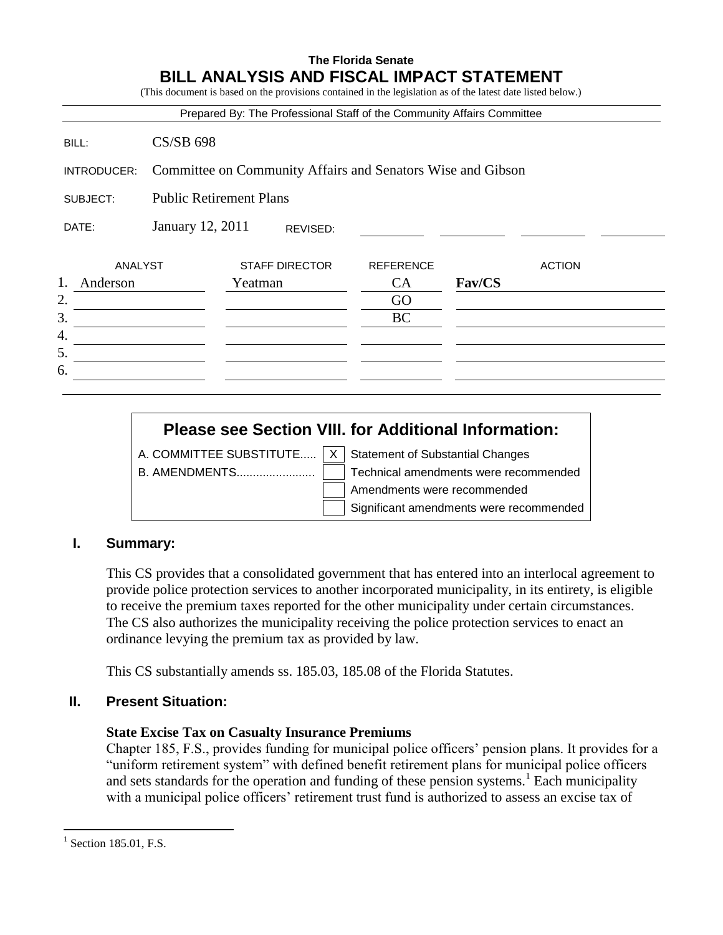## **The Florida Senate BILL ANALYSIS AND FISCAL IMPACT STATEMENT**

(This document is based on the provisions contained in the legislation as of the latest date listed below.)

|                                            |                                                             | Prepared By: The Professional Staff of the Community Affairs Committee |                  |        |               |
|--------------------------------------------|-------------------------------------------------------------|------------------------------------------------------------------------|------------------|--------|---------------|
| BILL:                                      | <b>CS/SB 698</b>                                            |                                                                        |                  |        |               |
| INTRODUCER:                                | Committee on Community Affairs and Senators Wise and Gibson |                                                                        |                  |        |               |
| <b>Public Retirement Plans</b><br>SUBJECT: |                                                             |                                                                        |                  |        |               |
| DATE:                                      | January 12, 2011<br>REVISED:                                |                                                                        |                  |        |               |
| ANALYST                                    |                                                             | <b>STAFF DIRECTOR</b>                                                  | <b>REFERENCE</b> |        | <b>ACTION</b> |
| 1.<br>Anderson                             |                                                             | Yeatman                                                                | CA               | Fav/CS |               |
| 2.                                         |                                                             |                                                                        | GO               |        |               |
| 3.                                         |                                                             |                                                                        | <b>BC</b>        |        |               |
| 4.                                         |                                                             |                                                                        |                  |        |               |
| 5.                                         |                                                             |                                                                        |                  |        |               |
| 6.                                         |                                                             |                                                                        |                  |        |               |

# **Please see Section VIII. for Additional Information:**

A. COMMITTEE SUBSTITUTE.....  $X \mid$  Statement of Substantial Changes

B. AMENDMENTS........................ Technical amendments were recommended Amendments were recommended Significant amendments were recommended

## **I. Summary:**

This CS provides that a consolidated government that has entered into an interlocal agreement to provide police protection services to another incorporated municipality, in its entirety, is eligible to receive the premium taxes reported for the other municipality under certain circumstances. The CS also authorizes the municipality receiving the police protection services to enact an ordinance levying the premium tax as provided by law.

This CS substantially amends ss. 185.03, 185.08 of the Florida Statutes.

## **II. Present Situation:**

#### **State Excise Tax on Casualty Insurance Premiums**

Chapter 185, F.S., provides funding for municipal police officers' pension plans. It provides for a "uniform retirement system" with defined benefit retirement plans for municipal police officers and sets standards for the operation and funding of these pension systems.<sup>1</sup> Each municipality with a municipal police officers' retirement trust fund is authorized to assess an excise tax of

 $\overline{a}$ 

 $<sup>1</sup>$  Section 185.01, F.S.</sup>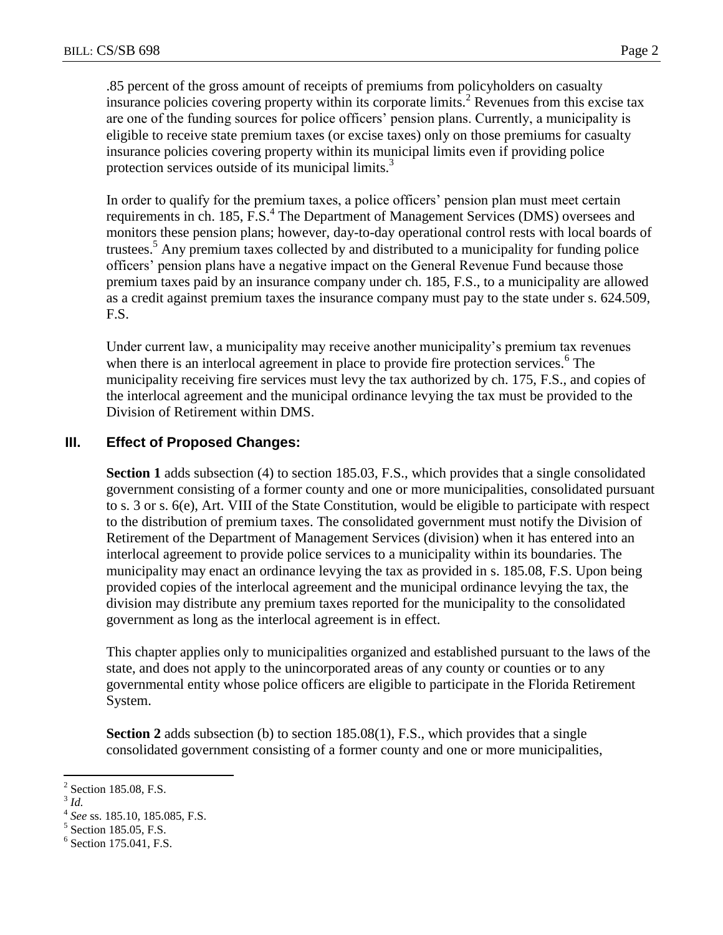.85 percent of the gross amount of receipts of premiums from policyholders on casualty insurance policies covering property within its corporate limits.<sup>2</sup> Revenues from this excise tax are one of the funding sources for police officers' pension plans. Currently, a municipality is eligible to receive state premium taxes (or excise taxes) only on those premiums for casualty insurance policies covering property within its municipal limits even if providing police protection services outside of its municipal limits.<sup>3</sup>

In order to qualify for the premium taxes, a police officers' pension plan must meet certain requirements in ch. 185, F.S.<sup>4</sup> The Department of Management Services (DMS) oversees and monitors these pension plans; however, day-to-day operational control rests with local boards of trustees.<sup>5</sup> Any premium taxes collected by and distributed to a municipality for funding police officers' pension plans have a negative impact on the General Revenue Fund because those premium taxes paid by an insurance company under ch. 185, F.S., to a municipality are allowed as a credit against premium taxes the insurance company must pay to the state under s. 624.509, F.S.

Under current law, a municipality may receive another municipality's premium tax revenues when there is an interlocal agreement in place to provide fire protection services. $<sup>6</sup>$  The</sup> municipality receiving fire services must levy the tax authorized by ch. 175, F.S., and copies of the interlocal agreement and the municipal ordinance levying the tax must be provided to the Division of Retirement within DMS.

# **III. Effect of Proposed Changes:**

**Section 1** adds subsection (4) to section 185.03, F.S., which provides that a single consolidated government consisting of a former county and one or more municipalities, consolidated pursuant to s. 3 or s. 6(e), Art. VIII of the State Constitution, would be eligible to participate with respect to the distribution of premium taxes. The consolidated government must notify the Division of Retirement of the Department of Management Services (division) when it has entered into an interlocal agreement to provide police services to a municipality within its boundaries. The municipality may enact an ordinance levying the tax as provided in s. 185.08, F.S. Upon being provided copies of the interlocal agreement and the municipal ordinance levying the tax, the division may distribute any premium taxes reported for the municipality to the consolidated government as long as the interlocal agreement is in effect.

This chapter applies only to municipalities organized and established pursuant to the laws of the state, and does not apply to the unincorporated areas of any county or counties or to any governmental entity whose police officers are eligible to participate in the Florida Retirement System.

**Section 2** adds subsection (b) to section 185.08(1), F.S., which provides that a single consolidated government consisting of a former county and one or more municipalities,

<sup>&</sup>lt;sup>2</sup> Section 185.08, F.S.

<sup>3</sup> *Id.*

<sup>4</sup> *See* ss. 185.10, 185.085, F.S.

<sup>&</sup>lt;sup>5</sup> Section 185.05, F.S.

<sup>&</sup>lt;sup>6</sup> Section 175.041, F.S.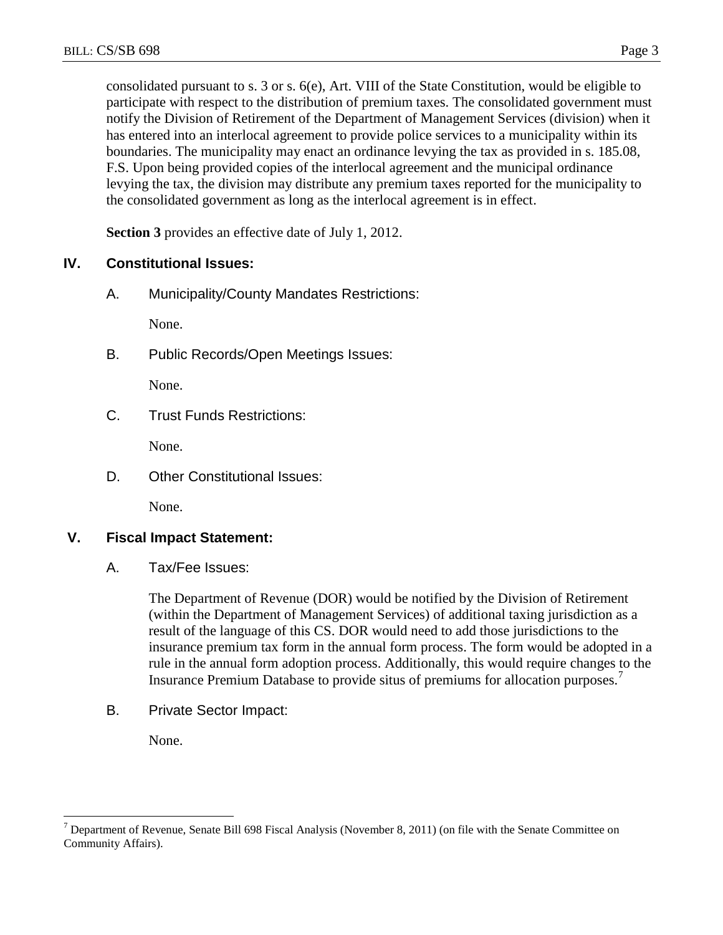consolidated pursuant to s. 3 or s. 6(e), Art. VIII of the State Constitution, would be eligible to participate with respect to the distribution of premium taxes. The consolidated government must notify the Division of Retirement of the Department of Management Services (division) when it has entered into an interlocal agreement to provide police services to a municipality within its boundaries. The municipality may enact an ordinance levying the tax as provided in s. 185.08, F.S. Upon being provided copies of the interlocal agreement and the municipal ordinance levying the tax, the division may distribute any premium taxes reported for the municipality to the consolidated government as long as the interlocal agreement is in effect.

**Section 3** provides an effective date of July 1, 2012.

## **IV. Constitutional Issues:**

A. Municipality/County Mandates Restrictions:

None.

B. Public Records/Open Meetings Issues:

None.

C. Trust Funds Restrictions:

None.

D. Other Constitutional Issues:

None.

## **V. Fiscal Impact Statement:**

A. Tax/Fee Issues:

The Department of Revenue (DOR) would be notified by the Division of Retirement (within the Department of Management Services) of additional taxing jurisdiction as a result of the language of this CS. DOR would need to add those jurisdictions to the insurance premium tax form in the annual form process. The form would be adopted in a rule in the annual form adoption process. Additionally, this would require changes to the Insurance Premium Database to provide situs of premiums for allocation purposes.<sup>7</sup>

B. Private Sector Impact:

None.

 $\overline{a}$ 

 $<sup>7</sup>$  Department of Revenue, Senate Bill 698 Fiscal Analysis (November 8, 2011) (on file with the Senate Committee on</sup> Community Affairs).